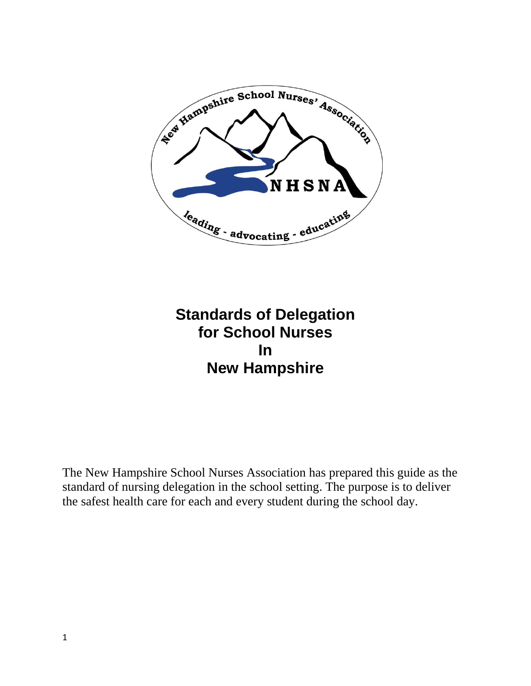

# **Standards of Delegation for School Nurses In New Hampshire**

The New Hampshire School Nurses Association has prepared this guide as the standard of nursing delegation in the school setting. The purpose is to deliver the safest health care for each and every student during the school day.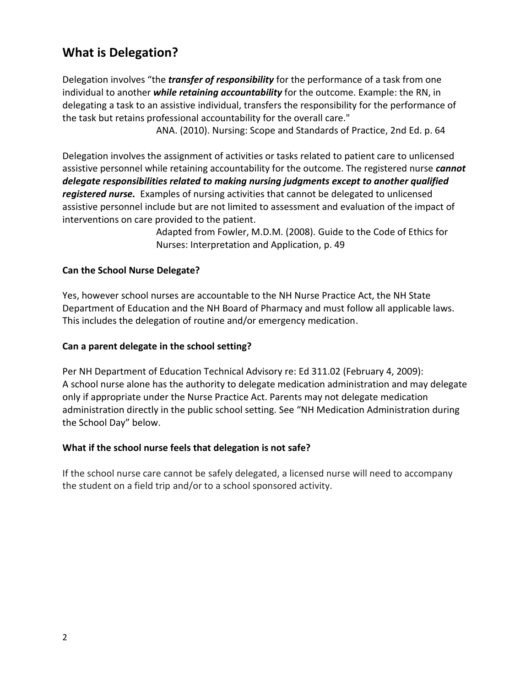## **What is Delegation?**

Delegation involves "the *transfer of responsibility* for the performance of a task from one individual to another *while retaining accountability* for the outcome. Example: the RN, in delegating a task to an assistive individual, transfers the responsibility for the performance of the task but retains professional accountability for the overall care."

ANA. (2010). Nursing: Scope and Standards of Practice, 2nd Ed. p. 64

Delegation involves the assignment of activities or tasks related to patient care to unlicensed assistive personnel while retaining accountability for the outcome. The registered nurse *cannot delegate responsibilities related to making nursing judgments except to another qualified registered nurse.* Examples of nursing activities that cannot be delegated to unlicensed assistive personnel include but are not limited to assessment and evaluation of the impact of interventions on care provided to the patient.

> Adapted from Fowler, M.D.M. (2008). Guide to the Code of Ethics for Nurses: Interpretation and Application, p. 49

## **Can the School Nurse Delegate?**

Yes, however school nurses are accountable to the NH Nurse Practice Act, the NH State Department of Education and the NH Board of Pharmacy and must follow all applicable laws. This includes the delegation of routine and/or emergency medication.

#### **Can a parent delegate in the school setting?**

Per NH Department of Education Technical Advisory re: Ed 311.02 (February 4, 2009): A school nurse alone has the authority to delegate medication administration and may delegate only if appropriate under the Nurse Practice Act. Parents may not delegate medication administration directly in the public school setting. See "NH Medication Administration during the School Day" below.

#### **What if the school nurse feels that delegation is not safe?**

If the school nurse care cannot be safely delegated, a licensed nurse will need to accompany the student on a field trip and/or to a school sponsored activity.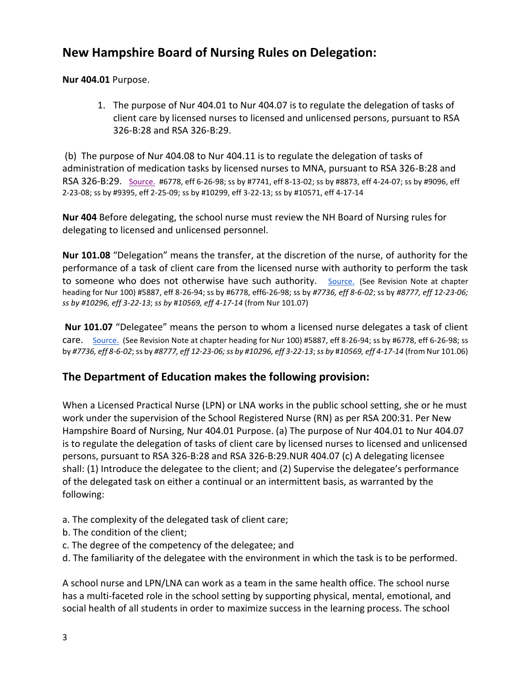## **New Hampshire Board of Nursing Rules on Delegation:**

**Nur 404.01** Purpose.

1. The purpose of Nur 404.01 to Nur 404.07 is to regulate the delegation of tasks of client care by licensed nurses to licensed and unlicensed persons, pursuant to RSA 326-B:28 and RSA 326-B:29.

(b) The purpose of Nur 404.08 to Nur 404.11 is to regulate the delegation of tasks of administration of medication tasks by licensed nurses to MNA, pursuant to RSA 326-B:28 and RSA 326-B:29. [Source.](http://www.gencourt.state.nh.us/rules/state_agencies/sourcenur.html) #6778, eff 6-26-98; ss by #7741, eff 8-13-02; ss by #8873, eff 4-24-07; ss by #9096, eff 2-23-08; ss by #9395, eff 2-25-09; ss by #10299, eff 3-22-13; ss by #10571, eff 4-17-14

**Nur 404** Before delegating, the school nurse must review the NH Board of Nursing rules for delegating to licensed and unlicensed personnel.

**Nur 101.08** "Delegation" means the transfer, at the discretion of the nurse, of authority for the performance of a task of client care from the licensed nurse with authority to perform the task to someone who does not otherwise have such authority. [Source.](http://www.gencourt.state.nh.us/rules/state_agencies/sourcenur.html) (See Revision Note at chapter heading for Nur 100) #5887, eff 8-26-94; ss by #6778, eff6-26-98; ss by *#7736, eff 8-6-02*; ss by *#8777, eff 12-23-06; ss by #10296, eff 3-22-13*; *ss by* #*10569, eff 4-17-14* (from Nur 101.07)

**Nur 101.07** "Delegatee" means the person to whom a licensed nurse delegates a task of client care. [Source.](http://www.gencourt.state.nh.us/rules/state_agencies/sourcenur.html) (See Revision Note at chapter heading for Nur 100) #5887, eff 8-26-94; ss by #6778, eff 6-26-98; ss by *#7736, eff 8-6-02*; ss by *#8777, eff 12-23-06; ss by #10296, eff 3-22-13*; *ss by* #*10569, eff 4-17-14* (from Nur 101.06)

## **The Department of Education makes the following provision:**

When a Licensed Practical Nurse (LPN) or LNA works in the public school setting, she or he must work under the supervision of the School Registered Nurse (RN) as per RSA 200:31. Per New Hampshire Board of Nursing, Nur 404.01 Purpose. (a) The purpose of Nur 404.01 to Nur 404.07 is to regulate the delegation of tasks of client care by licensed nurses to licensed and unlicensed persons, pursuant to RSA 326-B:28 and RSA 326-B:29.NUR 404.07 (c) A delegating licensee shall: (1) Introduce the delegatee to the client; and (2) Supervise the delegatee's performance of the delegated task on either a continual or an intermittent basis, as warranted by the following:

- a. The complexity of the delegated task of client care;
- b. The condition of the client;
- c. The degree of the competency of the delegatee; and
- d. The familiarity of the delegatee with the environment in which the task is to be performed.

A school nurse and LPN/LNA can work as a team in the same health office. The school nurse has a multi-faceted role in the school setting by supporting physical, mental, emotional, and social health of all students in order to maximize success in the learning process. The school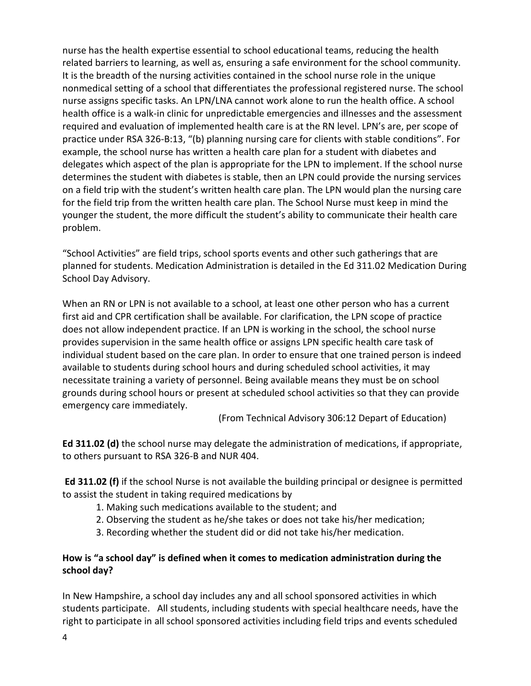nurse has the health expertise essential to school educational teams, reducing the health related barriers to learning, as well as, ensuring a safe environment for the school community. It is the breadth of the nursing activities contained in the school nurse role in the unique nonmedical setting of a school that differentiates the professional registered nurse. The school nurse assigns specific tasks. An LPN/LNA cannot work alone to run the health office. A school health office is a walk-in clinic for unpredictable emergencies and illnesses and the assessment required and evaluation of implemented health care is at the RN level. LPN's are, per scope of practice under RSA 326-B:13, "(b) planning nursing care for clients with stable conditions". For example, the school nurse has written a health care plan for a student with diabetes and delegates which aspect of the plan is appropriate for the LPN to implement. If the school nurse determines the student with diabetes is stable, then an LPN could provide the nursing services on a field trip with the student's written health care plan. The LPN would plan the nursing care for the field trip from the written health care plan. The School Nurse must keep in mind the younger the student, the more difficult the student's ability to communicate their health care problem.

"School Activities" are field trips, school sports events and other such gatherings that are planned for students. Medication Administration is detailed in the Ed 311.02 Medication During School Day Advisory.

When an RN or LPN is not available to a school, at least one other person who has a current first aid and CPR certification shall be available. For clarification, the LPN scope of practice does not allow independent practice. If an LPN is working in the school, the school nurse provides supervision in the same health office or assigns LPN specific health care task of individual student based on the care plan. In order to ensure that one trained person is indeed available to students during school hours and during scheduled school activities, it may necessitate training a variety of personnel. Being available means they must be on school grounds during school hours or present at scheduled school activities so that they can provide emergency care immediately.

(From Technical Advisory 306:12 Depart of Education)

**Ed 311.02 (d)** the school nurse may delegate the administration of medications, if appropriate, to others pursuant to RSA 326-B and NUR 404.

**Ed 311.02 (f)** if the school Nurse is not available the building principal or designee is permitted to assist the student in taking required medications by

- 1. Making such medications available to the student; and
- 2. Observing the student as he/she takes or does not take his/her medication;
- 3. Recording whether the student did or did not take his/her medication.

## **How is "a school day" is defined when it comes to medication administration during the school day?**

In New Hampshire, a school day includes any and all school sponsored activities in which students participate. All students, including students with special healthcare needs, have the right to participate in all school sponsored activities including field trips and events scheduled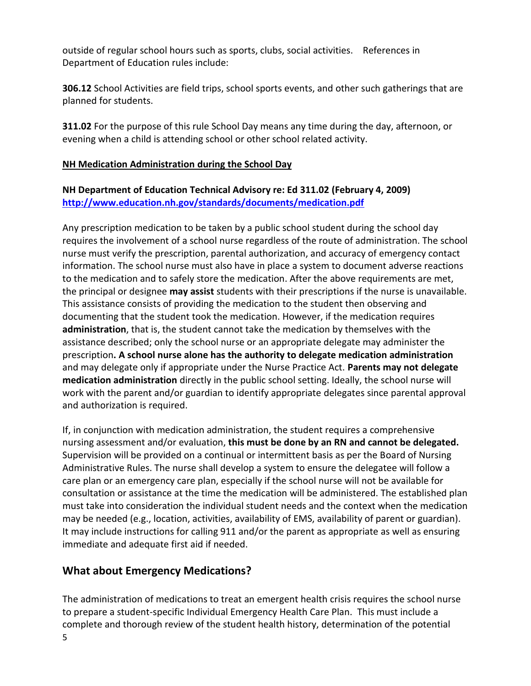outside of regular school hours such as sports, clubs, social activities. References in Department of Education rules include:

**306.12** School Activities are field trips, school sports events, and other such gatherings that are planned for students.

**311.02** For the purpose of this rule School Day means any time during the day, afternoon, or evening when a child is attending school or other school related activity.

#### **NH Medication Administration during the School Day**

**NH Department of Education Technical Advisory re: Ed 311.02 (February 4, 2009) <http://www.education.nh.gov/standards/documents/medication.pdf>**

Any prescription medication to be taken by a public school student during the school day requires the involvement of a school nurse regardless of the route of administration. The school nurse must verify the prescription, parental authorization, and accuracy of emergency contact information. The school nurse must also have in place a system to document adverse reactions to the medication and to safely store the medication. After the above requirements are met, the principal or designee **may assist** students with their prescriptions if the nurse is unavailable. This assistance consists of providing the medication to the student then observing and documenting that the student took the medication. However, if the medication requires **administration**, that is, the student cannot take the medication by themselves with the assistance described; only the school nurse or an appropriate delegate may administer the prescription**. A school nurse alone has the authority to delegate medication administration** and may delegate only if appropriate under the Nurse Practice Act. **Parents may not delegate medication administration** directly in the public school setting. Ideally, the school nurse will work with the parent and/or guardian to identify appropriate delegates since parental approval and authorization is required.

If, in conjunction with medication administration, the student requires a comprehensive nursing assessment and/or evaluation, **this must be done by an RN and cannot be delegated.** Supervision will be provided on a continual or intermittent basis as per the Board of Nursing Administrative Rules. The nurse shall develop a system to ensure the delegatee will follow a care plan or an emergency care plan, especially if the school nurse will not be available for consultation or assistance at the time the medication will be administered. The established plan must take into consideration the individual student needs and the context when the medication may be needed (e.g., location, activities, availability of EMS, availability of parent or guardian). It may include instructions for calling 911 and/or the parent as appropriate as well as ensuring immediate and adequate first aid if needed.

## **What about Emergency Medications?**

The administration of medications to treat an emergent health crisis requires the school nurse to prepare a student-specific Individual Emergency Health Care Plan. This must include a complete and thorough review of the student health history, determination of the potential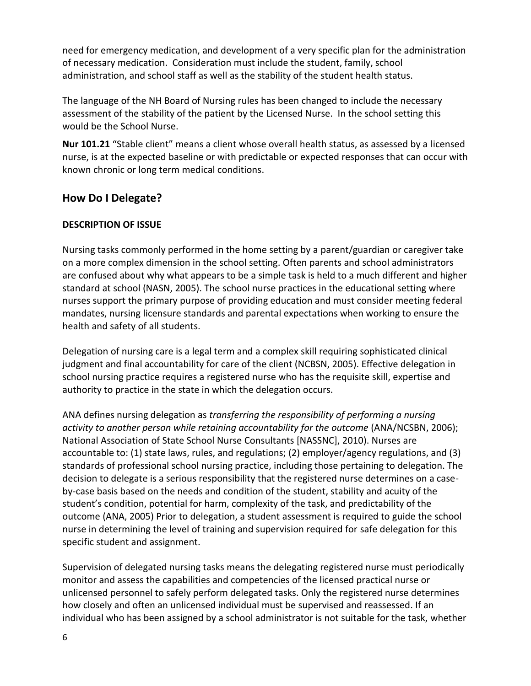need for emergency medication, and development of a very specific plan for the administration of necessary medication. Consideration must include the student, family, school administration, and school staff as well as the stability of the student health status.

The language of the NH Board of Nursing rules has been changed to include the necessary assessment of the stability of the patient by the Licensed Nurse. In the school setting this would be the School Nurse.

**Nur 101.21** "Stable client" means a client whose overall health status, as assessed by a licensed nurse, is at the expected baseline or with predictable or expected responses that can occur with known chronic or long term medical conditions.

## **How Do I Delegate?**

## **DESCRIPTION OF ISSUE**

Nursing tasks commonly performed in the home setting by a parent/guardian or caregiver take on a more complex dimension in the school setting. Often parents and school administrators are confused about why what appears to be a simple task is held to a much different and higher standard at school (NASN, 2005). The school nurse practices in the educational setting where nurses support the primary purpose of providing education and must consider meeting federal mandates, nursing licensure standards and parental expectations when working to ensure the health and safety of all students.

Delegation of nursing care is a legal term and a complex skill requiring sophisticated clinical judgment and final accountability for care of the client (NCBSN, 2005). Effective delegation in school nursing practice requires a registered nurse who has the requisite skill, expertise and authority to practice in the state in which the delegation occurs.

ANA defines nursing delegation as *transferring the responsibility of performing a nursing*  activity to another person while retaining accountability for the outcome (ANA/NCSBN, 2006); National Association of State School Nurse Consultants [NASSNC], 2010). Nurses are accountable to: (1) state laws, rules, and regulations; (2) employer/agency regulations, and (3) standards of professional school nursing practice, including those pertaining to delegation. The decision to delegate is a serious responsibility that the registered nurse determines on a caseby-case basis based on the needs and condition of the student, stability and acuity of the student's condition, potential for harm, complexity of the task, and predictability of the outcome (ANA, 2005) Prior to delegation, a student assessment is required to guide the school nurse in determining the level of training and supervision required for safe delegation for this specific student and assignment.

Supervision of delegated nursing tasks means the delegating registered nurse must periodically monitor and assess the capabilities and competencies of the licensed practical nurse or unlicensed personnel to safely perform delegated tasks. Only the registered nurse determines how closely and often an unlicensed individual must be supervised and reassessed. If an individual who has been assigned by a school administrator is not suitable for the task, whether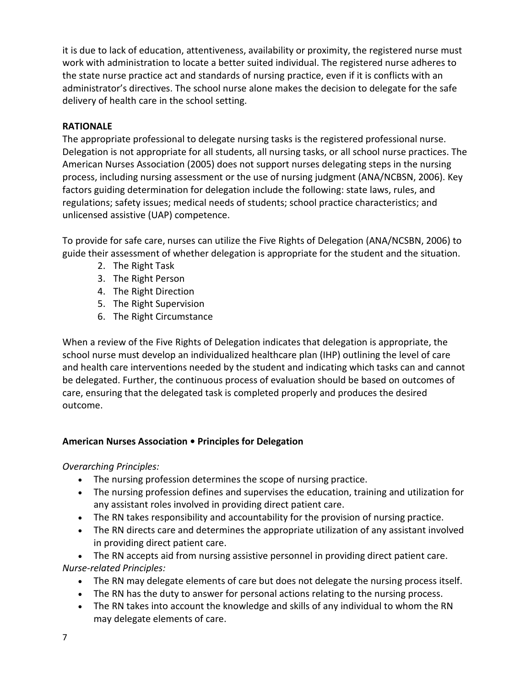it is due to lack of education, attentiveness, availability or proximity, the registered nurse must work with administration to locate a better suited individual. The registered nurse adheres to the state nurse practice act and standards of nursing practice, even if it is conflicts with an administrator's directives. The school nurse alone makes the decision to delegate for the safe delivery of health care in the school setting.

## **RATIONALE**

The appropriate professional to delegate nursing tasks is the registered professional nurse. Delegation is not appropriate for all students, all nursing tasks, or all school nurse practices. The American Nurses Association (2005) does not support nurses delegating steps in the nursing process, including nursing assessment or the use of nursing judgment (ANA/NCBSN, 2006). Key factors guiding determination for delegation include the following: state laws, rules, and regulations; safety issues; medical needs of students; school practice characteristics; and unlicensed assistive (UAP) competence.

To provide for safe care, nurses can utilize the Five Rights of Delegation (ANA/NCSBN, 2006) to guide their assessment of whether delegation is appropriate for the student and the situation.

- 2. The Right Task
- 3. The Right Person
- 4. The Right Direction
- 5. The Right Supervision
- 6. The Right Circumstance

When a review of the Five Rights of Delegation indicates that delegation is appropriate, the school nurse must develop an individualized healthcare plan (IHP) outlining the level of care and health care interventions needed by the student and indicating which tasks can and cannot be delegated. Further, the continuous process of evaluation should be based on outcomes of care, ensuring that the delegated task is completed properly and produces the desired outcome.

## **American Nurses Association • Principles for Delegation**

## *Overarching Principles:*

- The nursing profession determines the scope of nursing practice.
- The nursing profession defines and supervises the education, training and utilization for any assistant roles involved in providing direct patient care.
- The RN takes responsibility and accountability for the provision of nursing practice.
- The RN directs care and determines the appropriate utilization of any assistant involved in providing direct patient care.

 The RN accepts aid from nursing assistive personnel in providing direct patient care. *Nurse-related Principles:*

- The RN may delegate elements of care but does not delegate the nursing process itself.
- The RN has the duty to answer for personal actions relating to the nursing process.
- The RN takes into account the knowledge and skills of any individual to whom the RN may delegate elements of care.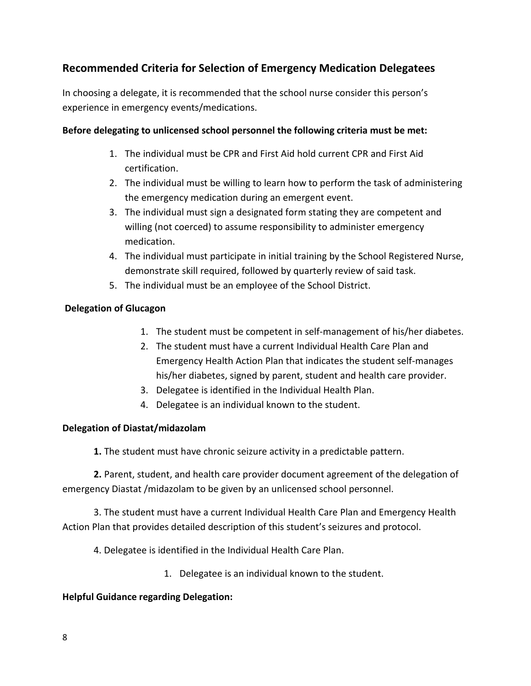## **Recommended Criteria for Selection of Emergency Medication Delegatees**

In choosing a delegate, it is recommended that the school nurse consider this person's experience in emergency events/medications.

## **Before delegating to unlicensed school personnel the following criteria must be met:**

- 1. The individual must be CPR and First Aid hold current CPR and First Aid certification.
- 2. The individual must be willing to learn how to perform the task of administering the emergency medication during an emergent event.
- 3. The individual must sign a designated form stating they are competent and willing (not coerced) to assume responsibility to administer emergency medication.
- 4. The individual must participate in initial training by the School Registered Nurse, demonstrate skill required, followed by quarterly review of said task.
- 5. The individual must be an employee of the School District.

## **Delegation of Glucagon**

- 1. The student must be competent in self-management of his/her diabetes.
- 2. The student must have a current Individual Health Care Plan and Emergency Health Action Plan that indicates the student self-manages his/her diabetes, signed by parent, student and health care provider.
- 3. Delegatee is identified in the Individual Health Plan.
- 4. Delegatee is an individual known to the student.

## **Delegation of Diastat/midazolam**

**1.** The student must have chronic seizure activity in a predictable pattern.

**2.** Parent, student, and health care provider document agreement of the delegation of emergency Diastat /midazolam to be given by an unlicensed school personnel.

3. The student must have a current Individual Health Care Plan and Emergency Health Action Plan that provides detailed description of this student's seizures and protocol.

4. Delegatee is identified in the Individual Health Care Plan.

1. Delegatee is an individual known to the student.

## **Helpful Guidance regarding Delegation:**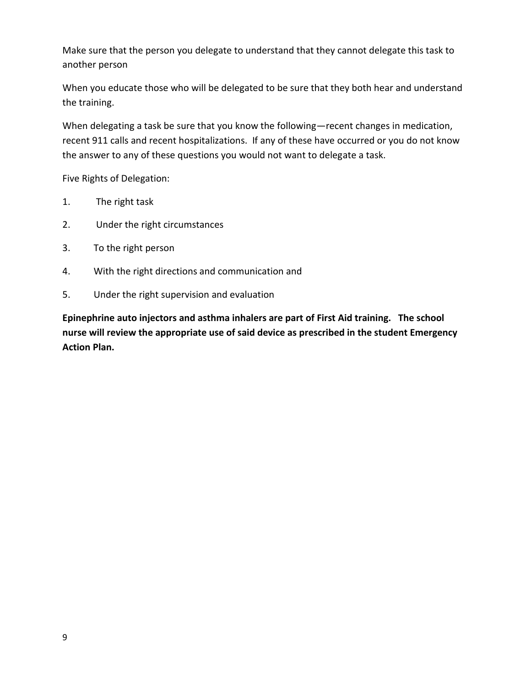Make sure that the person you delegate to understand that they cannot delegate this task to another person

When you educate those who will be delegated to be sure that they both hear and understand the training.

When delegating a task be sure that you know the following—recent changes in medication, recent 911 calls and recent hospitalizations. If any of these have occurred or you do not know the answer to any of these questions you would not want to delegate a task.

Five Rights of Delegation:

- 1. The right task
- 2. Under the right circumstances
- 3. To the right person
- 4. With the right directions and communication and
- 5. Under the right supervision and evaluation

**Epinephrine auto injectors and asthma inhalers are part of First Aid training. The school nurse will review the appropriate use of said device as prescribed in the student Emergency Action Plan.**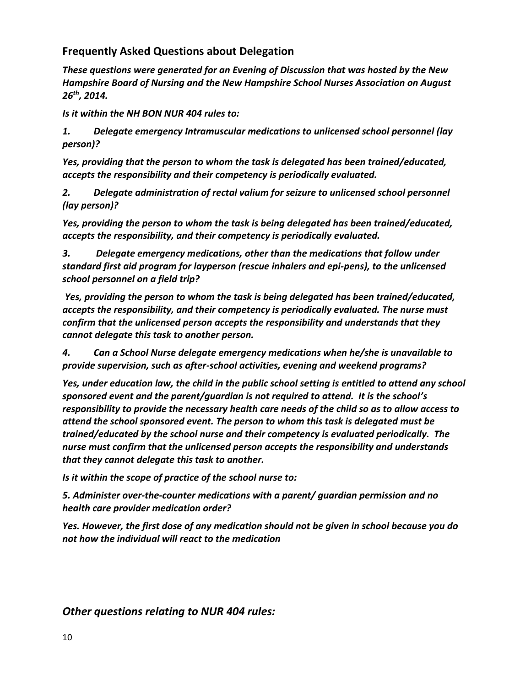## **Frequently Asked Questions about Delegation**

*These questions were generated for an Evening of Discussion that was hosted by the New Hampshire Board of Nursing and the New Hampshire School Nurses Association on August 26th, 2014.* 

*Is it within the NH BON NUR 404 rules to:*

*1. Delegate emergency Intramuscular medications to unlicensed school personnel (lay person)?* 

*Yes, providing that the person to whom the task is delegated has been trained/educated, accepts the responsibility and their competency is periodically evaluated.*

*2. Delegate administration of rectal valium for seizure to unlicensed school personnel (lay person)?* 

*Yes, providing the person to whom the task is being delegated has been trained/educated, accepts the responsibility, and their competency is periodically evaluated.*

*3. Delegate emergency medications, other than the medications that follow under standard first aid program for layperson (rescue inhalers and epi-pens), to the unlicensed school personnel on a field trip?*

*Yes, providing the person to whom the task is being delegated has been trained/educated, accepts the responsibility, and their competency is periodically evaluated. The nurse must confirm that the unlicensed person accepts the responsibility and understands that they cannot delegate this task to another person.*

*4. Can a School Nurse delegate emergency medications when he/she is unavailable to provide supervision, such as after-school activities, evening and weekend programs?*

*Yes, under education law, the child in the public school setting is entitled to attend any school sponsored event and the parent/guardian is not required to attend. It is the school's responsibility to provide the necessary health care needs of the child so as to allow access to attend the school sponsored event. The person to whom this task is delegated must be trained/educated by the school nurse and their competency is evaluated periodically. The nurse must confirm that the unlicensed person accepts the responsibility and understands that they cannot delegate this task to another.*

*Is it within the scope of practice of the school nurse to:*

*5. Administer over-the-counter medications with a parent/ guardian permission and no health care provider medication order?* 

*Yes. However, the first dose of any medication should not be given in school because you do not how the individual will react to the medication*

## *Other questions relating to NUR 404 rules:*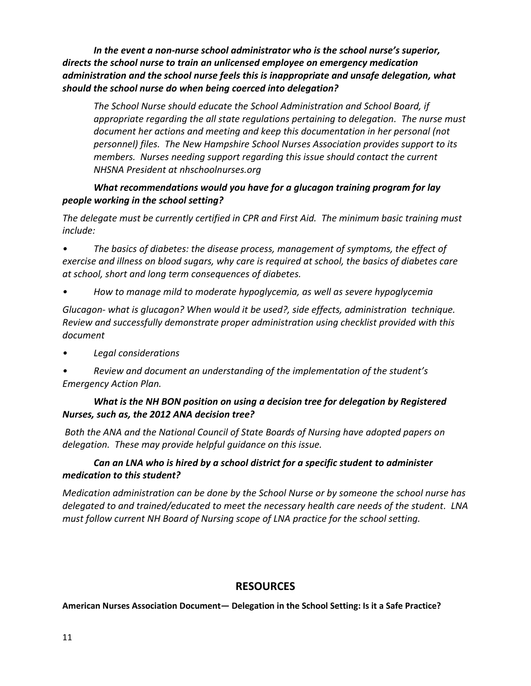*In the event a non-nurse school administrator who is the school nurse's superior, directs the school nurse to train an unlicensed employee on emergency medication administration and the school nurse feels this is inappropriate and unsafe delegation, what should the school nurse do when being coerced into delegation?* 

*The School Nurse should educate the School Administration and School Board, if appropriate regarding the all state regulations pertaining to delegation. The nurse must document her actions and meeting and keep this documentation in her personal (not personnel) files. The New Hampshire School Nurses Association provides support to its members. Nurses needing support regarding this issue should contact the current NHSNA President at nhschoolnurses.org*

#### *What recommendations would you have for a glucagon training program for lay people working in the school setting?*

*The delegate must be currently certified in CPR and First Aid. The minimum basic training must include:*

*• The basics of diabetes: the disease process, management of symptoms, the effect of exercise and illness on blood sugars, why care is required at school, the basics of diabetes care at school, short and long term consequences of diabetes.* 

*• How to manage mild to moderate hypoglycemia, as well as severe hypoglycemia* 

*Glucagon- what is glucagon? When would it be used?, side effects, administration technique. Review and successfully demonstrate proper administration using checklist provided with this document*

- *• Legal considerations*
- *• Review and document an understanding of the implementation of the student's Emergency Action Plan.*

## *What is the NH BON position on using a decision tree for delegation by Registered Nurses, such as, the 2012 ANA decision tree?*

*Both the ANA and the National Council of State Boards of Nursing have adopted papers on delegation. These may provide helpful guidance on this issue.* 

## *Can an LNA who is hired by a school district for a specific student to administer medication to this student?*

*Medication administration can be done by the School Nurse or by someone the school nurse has delegated to and trained/educated to meet the necessary health care needs of the student. LNA must follow current NH Board of Nursing scope of LNA practice for the school setting.*

## **RESOURCES**

#### **American Nurses Association Document***—* **Delegation in the School Setting: Is it a Safe Practice?**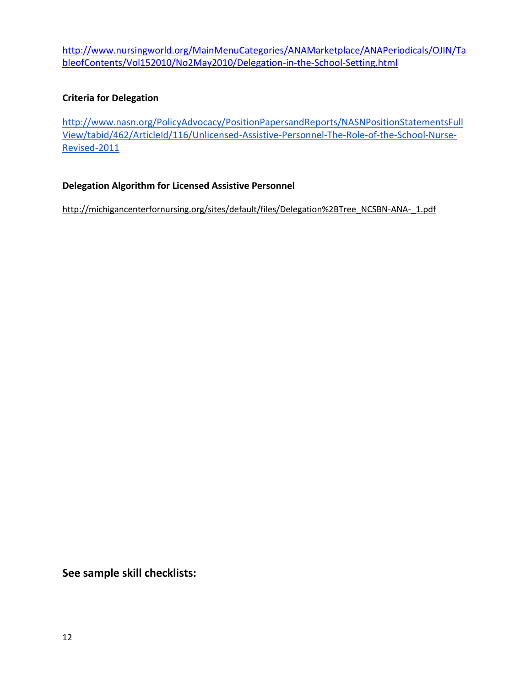[http://www.nursingworld.org/MainMenuCategories/ANAMarketplace/ANAPeriodicals/OJIN/Ta](http://www.nursingworld.org/MainMenuCategories/ANAMarketplace/ANAPeriodicals/OJIN/TableofContents/Vol152010/No2May2010/Delegation-in-the-School-Setting.html) [bleofContents/Vol152010/No2May2010/Delegation-in-the-School-Setting.html](http://www.nursingworld.org/MainMenuCategories/ANAMarketplace/ANAPeriodicals/OJIN/TableofContents/Vol152010/No2May2010/Delegation-in-the-School-Setting.html)

## **Criteria for Delegation**

[http://www.nasn.org/PolicyAdvocacy/PositionPapersandReports/NASNPositionStatementsFull](http://www.nasn.org/PolicyAdvocacy/PositionPapersandReports/NASNPositionStatementsFullView/tabid/462/ArticleId/116/Unlicensed-Assistive-Personnel-The-Role-of-the-School-Nurse-Revised-2011) [View/tabid/462/ArticleId/116/Unlicensed-Assistive-Personnel-The-Role-of-the-School-Nurse-](http://www.nasn.org/PolicyAdvocacy/PositionPapersandReports/NASNPositionStatementsFullView/tabid/462/ArticleId/116/Unlicensed-Assistive-Personnel-The-Role-of-the-School-Nurse-Revised-2011)[Revised-2011](http://www.nasn.org/PolicyAdvocacy/PositionPapersandReports/NASNPositionStatementsFullView/tabid/462/ArticleId/116/Unlicensed-Assistive-Personnel-The-Role-of-the-School-Nurse-Revised-2011)

## **Delegation Algorithm for Licensed Assistive Personnel**

[http://michigancenterfornursing.org/sites/default/files/Delegation%2BTree\\_NCSBN-ANA-\\_1.pdf](http://michigancenterfornursing.org/sites/default/files/Delegation%2BTree_NCSBN-ANA-_1.pdf)

**See sample skill checklists:**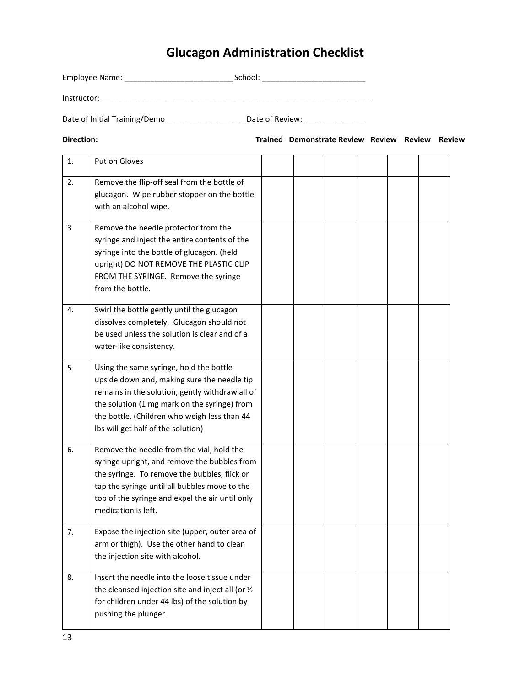# **Glucagon Administration Checklist**

|                |                               |  | School: _______________________                 |  |  |
|----------------|-------------------------------|--|-------------------------------------------------|--|--|
|                |                               |  |                                                 |  |  |
|                | Date of Initial Training/Demo |  | Date of Review: _______________                 |  |  |
| Direction:     |                               |  | Trained Demonstrate Review Review Review Review |  |  |
| $\mathbf{1}$ . | Put on Gloves                 |  |                                                 |  |  |

| 1. | Put on Gloves                                                                                                                                                                                                                                                                   |  |  |  |
|----|---------------------------------------------------------------------------------------------------------------------------------------------------------------------------------------------------------------------------------------------------------------------------------|--|--|--|
| 2. | Remove the flip-off seal from the bottle of<br>glucagon. Wipe rubber stopper on the bottle<br>with an alcohol wipe.                                                                                                                                                             |  |  |  |
| 3. | Remove the needle protector from the<br>syringe and inject the entire contents of the<br>syringe into the bottle of glucagon. (held<br>upright) DO NOT REMOVE THE PLASTIC CLIP<br>FROM THE SYRINGE. Remove the syringe<br>from the bottle.                                      |  |  |  |
| 4. | Swirl the bottle gently until the glucagon<br>dissolves completely. Glucagon should not<br>be used unless the solution is clear and of a<br>water-like consistency.                                                                                                             |  |  |  |
| 5. | Using the same syringe, hold the bottle<br>upside down and, making sure the needle tip<br>remains in the solution, gently withdraw all of<br>the solution (1 mg mark on the syringe) from<br>the bottle. (Children who weigh less than 44<br>Ibs will get half of the solution) |  |  |  |
| 6. | Remove the needle from the vial, hold the<br>syringe upright, and remove the bubbles from<br>the syringe. To remove the bubbles, flick or<br>tap the syringe until all bubbles move to the<br>top of the syringe and expel the air until only<br>medication is left.            |  |  |  |
| 7. | Expose the injection site (upper, outer area of<br>arm or thigh). Use the other hand to clean<br>the injection site with alcohol.                                                                                                                                               |  |  |  |
| 8. | Insert the needle into the loose tissue under<br>the cleansed injection site and inject all (or 1/2<br>for children under 44 lbs) of the solution by<br>pushing the plunger.                                                                                                    |  |  |  |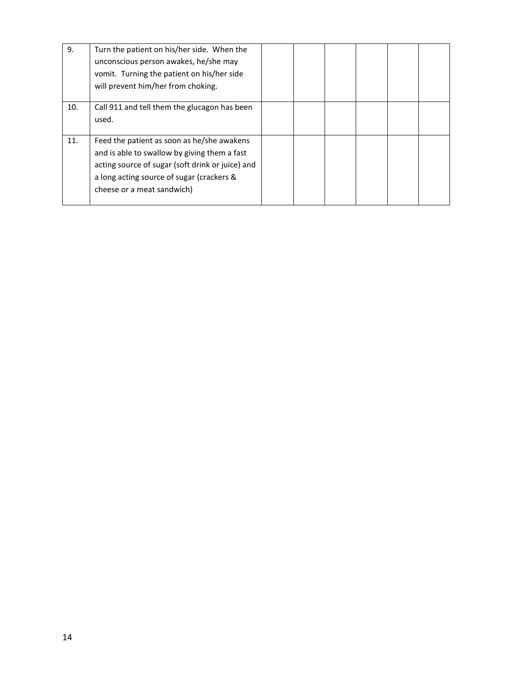| 9.  | Turn the patient on his/her side. When the<br>unconscious person awakes, he/she may<br>vomit. Turning the patient on his/her side<br>will prevent him/her from choking.                                                   |  |  |  |
|-----|---------------------------------------------------------------------------------------------------------------------------------------------------------------------------------------------------------------------------|--|--|--|
| 10. | Call 911 and tell them the glucagon has been<br>used.                                                                                                                                                                     |  |  |  |
| 11. | Feed the patient as soon as he/she awakens<br>and is able to swallow by giving them a fast<br>acting source of sugar (soft drink or juice) and<br>a long acting source of sugar (crackers &<br>cheese or a meat sandwich) |  |  |  |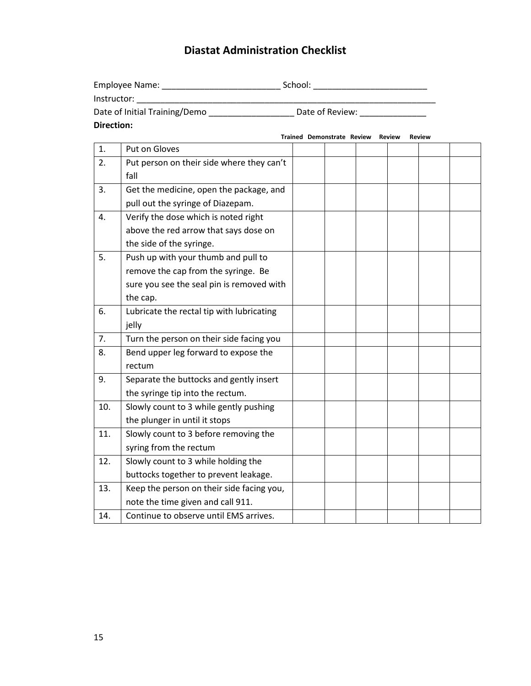## **Diastat Administration Checklist**

| Employee Name:                | School:         |  |
|-------------------------------|-----------------|--|
| Instructor:                   |                 |  |
| Date of Initial Training/Demo | Date of Review: |  |
| Direction:                    |                 |  |

**Trained Demonstrate Review Review Review** 1. Put on Gloves 2. Put person on their side where they can't fall 3. Get the medicine, open the package, and pull out the syringe of Diazepam. 4. Verify the dose which is noted right above the red arrow that says dose on the side of the syringe. 5. Push up with your thumb and pull to remove the cap from the syringe. Be sure you see the seal pin is removed with the cap. 6. Lubricate the rectal tip with lubricating jelly 7. Turn the person on their side facing you 8. Bend upper leg forward to expose the rectum 9. Separate the buttocks and gently insert the syringe tip into the rectum. 10. Slowly count to 3 while gently pushing the plunger in until it stops 11. Slowly count to 3 before removing the syring from the rectum 12. Slowly count to 3 while holding the buttocks together to prevent leakage. 13. Keep the person on their side facing you, note the time given and call 911. 14. Continue to observe until EMS arrives.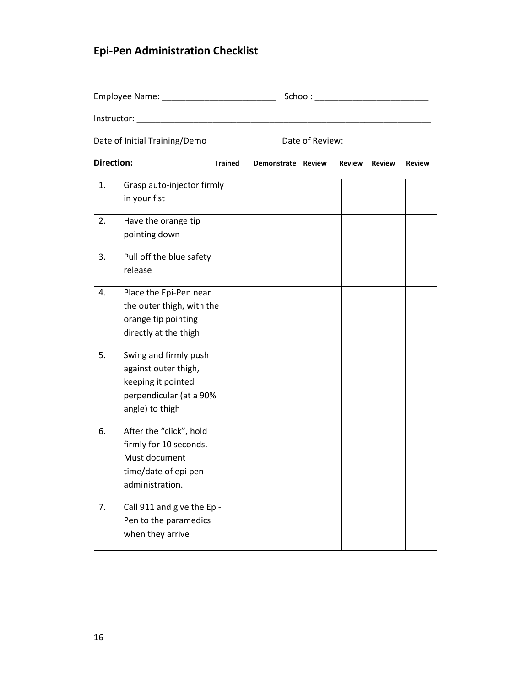# **Epi-Pen Administration Checklist**

|                   |                                                                                                                   |                | Date of Initial Training/Demo __________________ Date of Review: _______________ |  |                    |  |                      |               |  |
|-------------------|-------------------------------------------------------------------------------------------------------------------|----------------|----------------------------------------------------------------------------------|--|--------------------|--|----------------------|---------------|--|
| <b>Direction:</b> |                                                                                                                   | <b>Trained</b> |                                                                                  |  | Demonstrate Review |  | <b>Review Review</b> | <b>Review</b> |  |
| 1.                | Grasp auto-injector firmly<br>in your fist                                                                        |                |                                                                                  |  |                    |  |                      |               |  |
| 2.                | Have the orange tip<br>pointing down                                                                              |                |                                                                                  |  |                    |  |                      |               |  |
| 3.                | Pull off the blue safety<br>release                                                                               |                |                                                                                  |  |                    |  |                      |               |  |
| 4.                | Place the Epi-Pen near<br>the outer thigh, with the<br>orange tip pointing<br>directly at the thigh               |                |                                                                                  |  |                    |  |                      |               |  |
| 5.                | Swing and firmly push<br>against outer thigh,<br>keeping it pointed<br>perpendicular (at a 90%<br>angle) to thigh |                |                                                                                  |  |                    |  |                      |               |  |
| 6.                | After the "click", hold<br>firmly for 10 seconds.<br>Must document<br>time/date of epi pen<br>administration.     |                |                                                                                  |  |                    |  |                      |               |  |
| 7.                | Call 911 and give the Epi-<br>Pen to the paramedics<br>when they arrive                                           |                |                                                                                  |  |                    |  |                      |               |  |